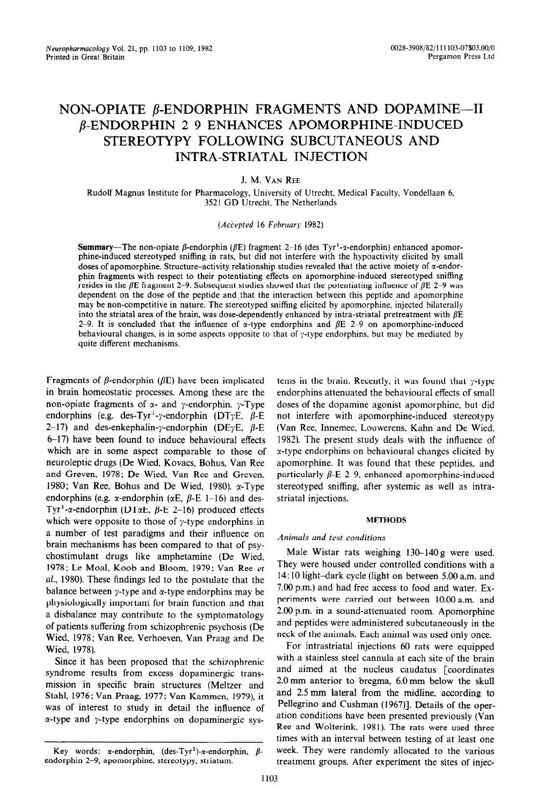# **NON-OPIATE β-ENDORPHIN FRAGMENTS AND DOPAMINE---II P-ENDORPHIN 2-9 ENHANCES APOMORPHINE-INDUCED STEREOTYPY FOLLOWING SUBCUTANEOUS AND INTRA-STRIATAL INJECTION**

# J. M. VAN REE

Rudolf Magnus Institute for Pharmacology. University of Utrecht, Medical Faculty, Vondellaan 6. 3521 GD Utrecht. The Netherlands

#### *(Acivpted 16 February 1982)*

Summary-The non-opiate  $\beta$ -endorphin ( $\beta E$ ) fragment 2-16 (des Tyr<sup>1</sup>-x-endorphin) enhanced apomorphine-induced stereotyped sniffing in rats, but did not interfere with the hypoactivity elicited by small doses of apomorphine. Structure-activity relationship studies revealed that the active moiety of  $\alpha$ -endorphin fragments with respect to their potentiating effects on apomorphine-induced stereotyped sniffing resides in the  $\beta$ E fragment 2-9. Subsequent studies showed that the potentiating influence of  $\beta$ E 2-9 was dependent on the dose of the peptide and that the interaction between this peptide and apomorphine may be non-competitive in nature. The stereotyped sniffing elicited by apomorphine, injected bilaterally into the striatal area of the brain, was dose-dependently enhanced by intra-striatal pretreatment with  $\beta E$ 2-9. It is concluded that the influence of  $\alpha$ -type endorphins and  $\beta E$  2-9 on apomorphine-induced behavioural changes, is in some aspects opposite to that of  $\gamma$ -type endorphins, but may be mediated by quite different mechanisms.

Fragments of  $\beta$ -endorphin ( $\beta$ E) have been implicated in brain homeostatic processes. Among these are the non-opiate fragments of  $\alpha$ - and y-endorphin. y-Type endorphins (e.g. des-Tyr<sup>1</sup>-y-endorphin (DTyE,  $\beta$ -E 2-17) and des-enkephalin-y-endorphin (DEyE,  $\beta$ -E  $6-17$ ) have been found to induce behavioural effects which are in some aspect comparable to those of neuroleptic drugs (De Wied, Kovacs, Bohus, Van Ree and Greven, 1978; De Wied, Van Ree and Greven, 1980; Van Ree, Bohus and De Wied, 1980).  $\alpha$ -Type endorphins (e.g.  $\alpha$ -endorphin ( $\alpha$ E,  $\beta$ -E 1-16) and des-Tyr<sup>1</sup>-a-endorphin (DT $\alpha$ E,  $\beta$ -E 2-16) produced effects which were opposite to those of  $\gamma$ -type endorphins in a number of test paradigms and their influence on brain mechanisms has been compared to that of psychostimulant drugs like amphetamine (De Wied, 1978; Le Meal, Koob and Bloom, 1979: Van Ree et al., 1980). These findings led to the postulate that the balance between  $\gamma$ -type and  $\alpha$ -type endorphins may be physiologically important for brain function and that a disbalance may contribute to the symptomatology of patients suffering from schizophrenic psychosis (De Wied, 1978; Van Ree, Verhoeven. Van Praag and De Wied, 1978).

Since it has been proposed that the schizophrenic syndrome results from excess dopaminergic transmission in specific brain structures (Meltzer and Stahl, 1976; Van Praag, 1977: Van Kammen, 1979), it was of interest to study in detail the influence of  $\alpha$ -type and  $\gamma$ -type endorphins on dopaminergic sys-

tems in the brain. Recently, it was found that  $\gamma$ -type endorphins attenuated the behavioural effects of small doses of the dopamine agonist apomorphine, but did not interfere with apomorphine-induced stereotypy (Van Ree, Innemee, Louwerens, Kahn and De Wied, 1982). The present study deals with the influence of r-type endorphins on behavioural changes elicited by apomorphine. It was found that these peptides, and particularly  $\beta$ -E 2-9, enhanced apomorphine-induced stereotyped sniffing, after systemic as well as intrastriatal injections.

#### METHODS

### Animals and test conditions

Male Wistar rats weighing 130-14Og were used. They were housed under controlled conditions with a 14: 10 light-dark cycle (light on between 5.00 a.m. and 7.00 p.m.) and had free access to food and water. Experiments were carried out between 10.OOa.m. and 2.00 p.m. in a sound-attenuated room. Apomorphine and peptides were administered subcutaneously in the neck of the animals. Each animal was used only once.

For intrastriatal injections 60 rats were equipped with a stainless steel cannula at each site of the brain and aimed at the nucleus caudatus [coordinates 2.0 mm anterior to bregma, 6.0mm below the skull and 2.5 mm lateral from the midline, according to Pellegrino and Cushman (1967)]. Details of the operation conditions have been presented previously (Van Ree and Wolterink. 1981). The rats were used three times with an interval between testing of at least one week. They were randomly allocated to the various treatment groups. After experiment the sites of injec-

Key words:  $\alpha$ -endorphin, (des-Tyr<sup>1</sup>)- $\alpha$ -endorphin,  $\beta$ endorphin 2-9, apomorphine, stereotypy. striatum.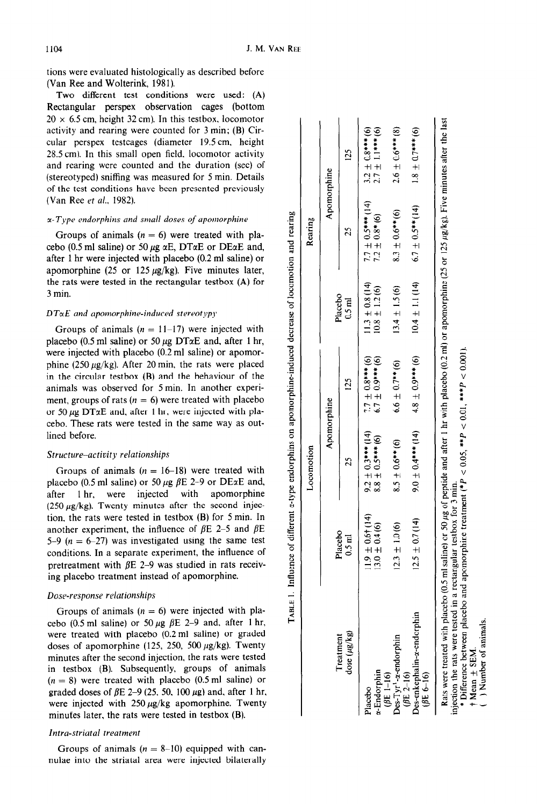tions were evaluated histologically as described before (Van Ree and Wolterink, 1981).

Two different test conditions were used: (A) Rectangular perspex observation cages (bottom  $20 \times 6.5$  cm, height 32 cm). In this testbox, locomotor activity and rearing were counted for 3 min; (B) Circular perspex testcages (diameter 19.5 cm, height 28.5 cm). In this small open field, locomotor activity and rearing were counted and the duration (sec) of (stereotyped) sniffing was measured for 5 min. Details of the test conditions have been presented previously (Van Ree et al., 1982).

#### $\alpha$ -Type endorphins and small doses of apomorphine

Groups of animals  $(n = 6)$  were treated with placebo (0.5 ml saline) or 50  $\mu$ g  $\alpha$ E, DT $\alpha$ E or DE $\alpha$ E and, after 1 hr were injected with placebo (0.2 ml saline) or apomorphine (25 or 125  $\mu$ g/kg). Five minutes later, the rats were tested in the rectangular testbox (A) for 3 min.

#### *DT*α*E* and apomorphine-induced stereotypy

Groups of animals  $(n = 11-17)$  were injected with placebo (0.5 ml saline) or 50  $\mu$ g DT $\alpha$ E and, after 1 hr, were injected with placebo (0.2 ml saline) or apomorphine (250  $\mu$ g/kg). After 20 min, the rats were placed in the circular testbox (B) and the behaviour of the animals was observed for 5 min. In another experiment, groups of rats  $(n = 6)$  were treated with placebo or 50  $\mu$ g DT $\alpha$ E and, after 1 hr, were injected with placebo. These rats were tested in the same way as outlined before.

#### *Structure-activity relationships*

Groups of animals  $(n = 16-18)$  were treated with placebo (0.5 ml saline) or 50  $\mu$ g  $\beta$ E 2-9 or DExE and, after 1 hr, were injected with apomorphine (250  $\mu$ g/kg). Twenty minutes after the second injection, the rats were tested in testbox (B) for 5 min. In another experiment, the influence of  $\beta E$  2-5 and  $\beta E$ 5-9  $(n = 6-27)$  was investigated using the same test conditions. In a separate experiment, the influence of pretreatment with  $\beta$ E 2-9 was studied in rats receiving placebo treatment instead of apomorphine.

## *Dose-response relationships*

Groups of animals  $(n = 6)$  were injected with placebo (0.5 ml saline) or 50  $\mu$ g  $\beta$ E 2-9 and, after 1 hr, were treated with placebo (0.2 ml saline) or graded doses of apomorphine (125, 250, 500  $\mu$ g/kg). Twenty minutes after the second injection, the rats were tested in testbox (B). Subsequently, groups of animals  $(n = 8)$  were treated with placebo  $(0.5 \text{ ml} \text{ saline})$  or graded doses of  $\beta$ E 2-9 (25, 50, 100  $\mu$ g) and, after 1 hr, were injected with  $250 \mu g/kg$  apomorphine. Twenty minutes later, the rats were tested in testbox (B).

# *Intra-striatal treatment*

Groups of animals  $(n = 8-10)$  equipped with cannulae into the striatal area were injected bilaterally

|                                                                                                                                                                                                                                                       |                                                                                                                  | Locomotion            |                         |                        | Rearing               |                                              |
|-------------------------------------------------------------------------------------------------------------------------------------------------------------------------------------------------------------------------------------------------------|------------------------------------------------------------------------------------------------------------------|-----------------------|-------------------------|------------------------|-----------------------|----------------------------------------------|
|                                                                                                                                                                                                                                                       |                                                                                                                  | Apomorphine           |                         |                        | Apomorphine           |                                              |
| dose (µg/kg)<br>Treatment                                                                                                                                                                                                                             | Placebo<br>$0.5$ ml                                                                                              | $\mathbf{c}$          | 125                     | Placebo<br>$0.5$ m $1$ | 25                    | 125                                          |
| Placebo                                                                                                                                                                                                                                               | $11.9 \pm 0.6$ † (14)                                                                                            | $9.2 \pm 0.3***$ (14) | $7.7 \pm 0.8***$ (6)    | $11.3 \pm 0.8$ (14)    | $7.7 \pm 0.5***$ (14) | $3.2 \pm 0.8***$ (6)<br>2.7 $\pm$ 1.1*** (6) |
| ( $\theta$ E 1-16)<br>e-Endorphin                                                                                                                                                                                                                     | $13.0 \pm 0.4(6)$                                                                                                | $8.8 \pm 0.5***$ (6)  | $6.7 \pm 0.9***$ (6)    | $10.8 \pm 1.2(6)$      | $7.2 \pm 0.8*(6)$     |                                              |
| $\sum_{\text{e}}^{\infty}$ Tyr <sup>1</sup> - <i>a</i> -endorphin<br>( $\beta$ E 2–16)                                                                                                                                                                | $12.3 \pm 1.0(6)$                                                                                                | $8.5 \pm 0.6**$ (6)   | $6.6 \pm 0.7$ ** (6)    | $13.4 \pm 1.5(6)$      | $8.3 \pm 0.6**$ (6)   | $2.6 \pm 0.6***$ (8)                         |
| Oes-enkephalin-a-endorphin<br>(BE 6-16)                                                                                                                                                                                                               | $12.5 \pm 0.7(14)$                                                                                               | $9.0 \pm 0.4***$ (14) | $4.8 \pm 0.9$ *** $(6)$ | $10.4 \pm 1.1$ (14)    | $6.7 \pm 0.5**$ (14)  | $1.8 + 0.7***$ (6)                           |
| Rats were treated with placebo (0.5 ml saline) or 50 µg of peptide and after 1 hr with placebo (0.2 ml) or apomorphine (25 or 125 µg/kg). Five minutes after the last<br><sup>*</sup> Difference between placebo<br>injection the rats were tested in | and apomorphine treatment (* $P < 0.05$ , ** $P < 0.01$ , *** $P < 0.001$ ).<br>a rectangular testbox for 3 min. |                       |                         |                        |                       |                                              |

Kumber of animals Mean  $\pm$  SEM

approprime-induced decrease of locomotion and ă andorphine Influence of different *n*-type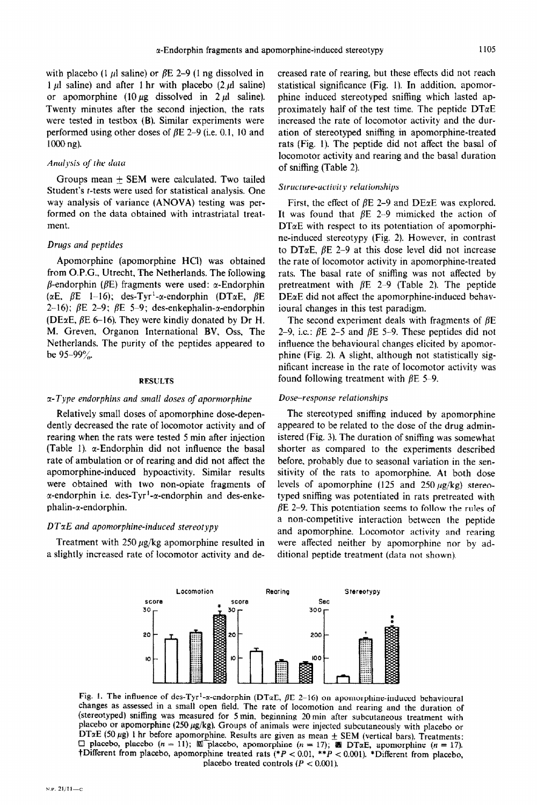with placebo (1  $\mu$ l saline) or  $\beta$ E 2-9 (1 ng dissolved in 1  $\mu$ l saline) and after 1 hr with placebo (2  $\mu$ l saline) or apomorphine  $(10 \mu g$  dissolved in 2  $\mu l$  saline). Twenty minutes after the second injection, the rats were tested in testbox (B). Similar experiments were performed using other doses of  $\beta$ E 2-9 (i.e. 0.1, 10 and 1000 ng).

#### Analysis of the data

Groups mean  $\pm$  SEM were calculated. Two tailed Student's r-tests were used for statistical analysis. One way analysis of variance (ANOVA) testing was performed on the data obtained with intrastriatal treatment.

# Drugs and peptides

Apomorphine (apomorphine HCl) was obtained from O.P.G., Utrecht, The Netherlands. The following  $\beta$ -endorphin ( $\beta$ E) fragments were used:  $\alpha$ -Endorphin ( $\alpha$ E,  $\beta$ E 1–16); des-Tyr<sup>1</sup>- $\alpha$ -endorphin (DT $\alpha$ E,  $\beta$ E 2-16);  $\beta$ E 2-9;  $\beta$ E 5-9; des-enkephalin- $\alpha$ -endorphin (DExE,  $\beta$ E 6-16). They were kindly donated by Dr H. M. Greven, Organon Tnternational BV, Oss, The Netherlands. The purity of the peptides appeared to be  $95-99\%$ .

#### RESULTS

#### $\alpha$ -Type endorphins and small doses of apormorphine

Relatively small doses of apomorphine dose-dependently decreased the rate of locomotor activity and of rearing when the rats were tested 5 min after injection (Table 1).  $\alpha$ -Endorphin did not influence the basal rate of ambulation or of rearing and did not affect the apomorphine-induced hypoactivity. Similar results were obtained with two non-opiate Fragments of  $\alpha$ -endorphin i.e. des-Tyr<sup>1</sup>- $\alpha$ -endorphin and des-enkephalin-x-endorphin.

#### DTxE and apomorphine-induced stereotypy

Treatment with 250  $\mu$ g/kg apomorphine resulted in a slightly increased rate of locomotor activity and decreased rate of rearing, but these effects did not reach statistical significance (Fig. I). In addition, apomorphine induced stereotyped sniffing which lasted approximately half of the test time. The peptide  $DT\alphaE$ increased the rate of locomotor activity and the duration of stereotyped sniffing in apomorphine-treated rats [Fig. 1). The peptide did not affect the basal of locomotor activity and rearing and the basal duration of sniffing (Table 2).

# Structure-activity relationships

First, the effect of  $\beta E$  2-9 and DE $\alpha E$  was explored. It was found that  $\beta E$  2-9 mimicked the action of  $DT\alpha E$  with respect to its potentiation of apomorphine-induced stereotypy (Fig. 2). However, in contrast to DT $\alpha$ E,  $\beta$ E 2-9 at this dose level did not increase the rate of locomotor activity in apomorphine-treated rats. The basal rate of sniffing was not affected by pretreatment with  $\beta$ E 2-9 (Table 2). The peptide  $DEaE$  did not affect the apomorphine-induced behavioural changes in this test paradigm.

The second experiment deals with fragments of  $\beta E$ 2-9, i.e.:  $\beta$ E 2-5 and  $\beta$ E 5-9. These peptides did not influence the behavioural changes elicited by apomorphine (Fig. 2). A slight, although not statistically significant increase in the rate of locomotor activity was found following treatment with  $\beta$ E 5-9.

#### Dose-response relationships

The stereotyped sniffing induced by apomorphine appeared to be related to the dose of the drug administered (Fig. 3). The duration of sniffing was somewhat shorter as compared to the experiments described before, probably due to seasonal variation in the sensitivity of the rats to apomorphine. At both dose levels of apomorphine (125 and 250  $\mu$ g/kg) stereotyped sniffing was potentiated in rats pretreated with  $\beta$ E 2-9. This potentiation seems to follow the rules of **a** non-competitive interaction between the peptide and apomorphine. Locomotor activity and rearing were affected neither by apomorphine nor by additional peptide treatment (data not shown).



Fig. 1. The influence of des-Tyr<sup>1</sup>- $\alpha$ -endorphin (DT $\alpha$ E,  $\beta$ E 2-16) on apomorphine-induced behavioural changes as assessed in a small open field. The rate of locomotion and rearing and the duration of (stereotyped) sniffing was measured for 5 min, beginning 20 min after subcutaneous treatment with placebo or apomorphine (250  $\mu$ g/kg). Groups of animals were injected subcutaneously with placebo or DT $\alpha$ E (50 µg) 1 hr before apomorphine. Results are given as mean  $\pm$  SEM (vertical bars). Treatments:  $\Box$  placebo, placebo (n = 11); W placebo, apomorphine (n = 17);  $\Box$  DT $\alpha$ E, apomorphine (n = 17). tDifferent from placebo, apomorphine treated rats (\* $P < 0.01$ , \*\* $P < 0.001$ ). \*Different from placebo, placebo treated controls  $(P < 0.001)$ .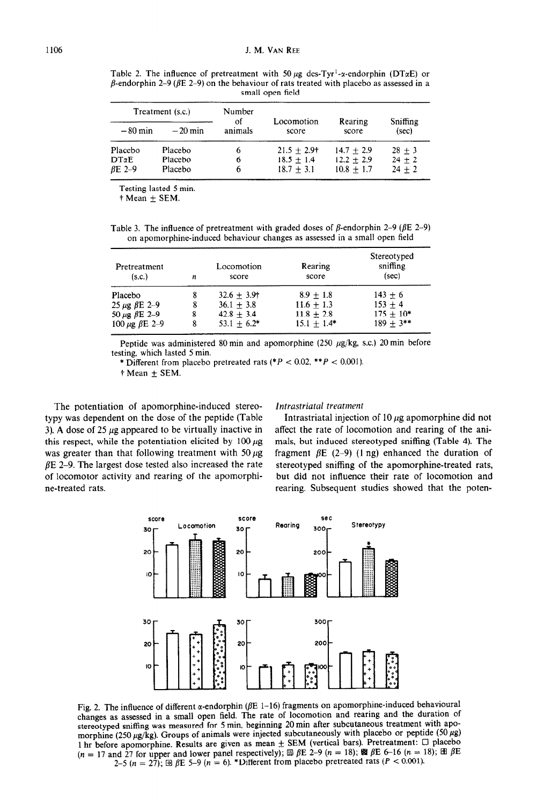Table 2. The influence of pretreatment with 50  $\mu$ g des-Tyr<sup>1</sup>-x-endorphin (DT $\alpha$ E) or  $\beta$ -endorphin 2-9 ( $\beta$ E 2-9) on the behaviour of rats treated with placebo as assessed in a small open field

|  |                   |                  | Number              | Treatment (s.c.) |           |           |
|--|-------------------|------------------|---------------------|------------------|-----------|-----------|
|  | Sniffing<br>(sec) | Rearing<br>score | Locomotion<br>score | of<br>animals    | $-20$ min | $-80$ min |
|  | $28 + 3$          | $14.7 + 2.9$     | $21.5 + 2.9$        | 6                | Placebo   | Placebo   |
|  | $24 + 2$          | $12.2 \pm 2.9$   | $18.5 + 1.4$        | 6                | Placebo   | DΤαΕ      |
|  | $24 + 2$          | $10.8 + 1.7$     | $18.7 + 3.1$        | h                | Placebo   | BE 2-9    |
|  |                   |                  |                     |                  |           |           |

Testing lasted 5 min.

 $\dagger$  Mean  $\pm$  SEM.

Table 3. The influence of pretreatment with graded doses of  $\beta$ -endorphin 2-9 ( $\beta$ E 2-9) on apomorphine-induced behaviour changes as assessed in a small open field

| Pretreatment<br>(s.c.)    | n | Locomotion<br>score | Rearing<br>score | Stereotyped<br>sniffing<br>(sec) |
|---------------------------|---|---------------------|------------------|----------------------------------|
| Placebo                   | 8 | $32.6 + 3.9$        | $8.9 + 1.8$      | $143 + 6$                        |
| 25 μg βE 2–9              | 8 | $36.1 + 3.8$        | $11.6 + 1.3$     | $153 + 4$                        |
| 50 μg βE 2-9              | 8 | $42.8 + 3.4$        | $11.8 + 2.8$     | $175 + 10*$                      |
| 100 $\mu$ g $\beta$ E 2-9 | 8 | $53.1 \pm 6.2^*$    | $15.1 + 1.4*$    | $189 + 3$ **                     |

Peptide was administered 80 min and apomorphine (250  $\mu$ g/kg, s.c.) 20 min before testing, which lasted 5 min.

\* Different from placebo pretreated rats (\* $P < 0.02$ , \*\* $P < 0.001$ ).

 $\dagger$  Mean  $\pm$  SEM.

The potentiation of apomorphine-induced stereotypy was dependent on the dose of the peptide (Table 3). A dose of 25  $\mu$ g appeared to be virtually inactive in this respect, while the potentiation elicited by  $100 \mu$ g was greater than that following treatment with 50  $\mu$ g  $\beta$ E 2-9. The largest dose tested also increased the rate of locomotor activity and rearing of the apomorphine-treated rats.

#### *l?ztrast~iaf~~ trratfnent*

Intrastriatal injection of 10  $\mu$ g apomorphine did not affect the rate of locomotion and rearing of the animals, but induced stereotyped sniffing (Table 4). The fragment  $\beta E$  (2-9) (1 ng) enhanced the duration of stereotyped sniffing of the apomorphine-treated rats, but did not influence their rate of locomotion and rearing. Subsequent studies showed that the poten-



Fig. 2. The influence of different  $\alpha$ -endorphin ( $\beta$ E 1-16) fragments on apomorphine-induced behavioural changes as assessed in a small open field. The rate of locomotion and rearing and the duration of stereotyped sniffing was measured for 5 min, beginning 20 min after subcutaneous treatment with apomorphine (250  $\mu$ g/kg). Groups of animals were injected subcutaneously with placebo or peptide (50  $\mu$ g) 1 hr before apomorphine. Results are given as mean  $\pm$  SEM (vertical bars). Pretreatment:  $\Box$  placebo (n = 17 and 27 for upper and lower panel respectively); IZ /?E 2-9 (n = 18); 88 BE 616 (n = 18); RI BE 2-5 ( $n = 27$ );  $\textcircled{B}$  BE 5-9 ( $n = 6$ ). \*Different from placebo pretreated rats ( $P < 0.001$ ).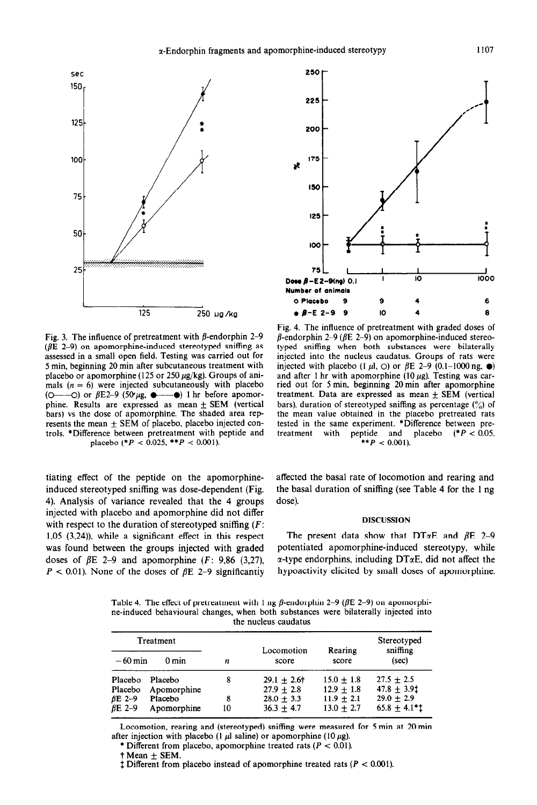

Fig. 3. The influence of pretreatment with  $\beta$ -endorphin 2-9 ( $\beta$ E 2-9) on apomorphine-induced stereotyped sniffing as assessed in a small open field. Testing was carried out for 5 min, beginning 20 min after subcutaneous treatment with placebo or apomorphine (125 or 250  $\mu$ g/kg). Groups of animals  $(n = 6)$  were injected subcutaneously with placebo  $(O \rightarrow O)$  or  $\beta E2-9$  (50  $\mu$ g,  $\rightarrow$  0) 1 hr before apomorphine. Results are expressed as mean  $\pm$  SEM (vertical bars) vs the dose of apomorphine. The shaded area represents the mean  $\pm$  SEM of placebo, placebo injected controls. \*Difference between pretreatment with peptide and placebo  $(^*P < 0.025, **P < 0.001)$ .

tiating effect of the peptide on the apomorphineinduced stereotyped sniffing was dose-dependent (Fig. 4). Analysis of variance revealed that the 4 groups injected with placebo and apomorphine did not differ with respect to the duration of stereotyped sniffing  $(F)$ : 1,05  $(3,24)$ ), while a significant effect in this respect was found between the groups injected with graded doses of  $\beta$ E 2-9 and apomorphine (F: 9,86 (3,27),  $P < 0.01$ ). None of the doses of  $\beta E$  2-9 significantly



Fig. 4. The influence of pretreatment with graded doses of  $\beta$ -endorphin 2-9 ( $\beta$ E 2-9) on apomorphine-induced stereotyped sniffing when both substances were bilaterally injected into the nucleus caudatus. Groups of rats were injected with placebo  $(1 \mu l, 0)$  or  $\beta E$  2-9  $(0.1-1000 \text{ ng.} \bullet)$ and after 1 hr with apomorphine (10  $\mu$ g). Testing was carried out for 5 min, beginning 20min after apomorphine treatment. Data are expressed as mean  $+$  SEM (vertical bars), duration of stereotyped sniffing as percentage  $\binom{9}{0}$  of the mean value obtained in the placebo pretreated rats tested in the same experiment. \*Difference between pre-<br>treatment with peptide and placebo  $(^*P < 0.05$ . treatment with peptide and placebo  $(^*P < 0.05$ .  $*$ *\*\*P* < 0.001).

affected the basal rate of locomotion and rearing and the basal duration of sniffing (see Table 4 for the 1 ng dose).

#### DISCUSSION

The present data show that DT $\alpha$ E and  $\beta$ E 2-9 potentiated apomorphine-induced stereotypy, while  $\alpha$ -type endorphins, including DT $\alpha$ E, did not affect the hypoactivity elicited by small doses of apomorphine.

Table 4. The effect of pretreatment with 1 ng  $\beta$ -endorphin 2-9 ( $\beta$ E 2-9) on apomorphine-induced behavioural changes, when both substances were bilaterally injected into the nucleus caudatus

| Treatment     |                 |    | Locomotion   | Rearing        | Stereotyped<br>sniffing |
|---------------|-----------------|----|--------------|----------------|-------------------------|
| $-60$ min     | $0 \text{ min}$ | n  | score        | score          | (sec)                   |
| Placebo       | Placebo         | 8  | $29.1 + 2.6$ | $15.0 \pm 1.8$ | $27.5 + 2.5$            |
| Placebo       | Apomorphine     |    | $27.9 + 2.8$ | $12.9 + 1.8$   | $47.8 \pm 3.91$         |
| $\beta$ E 2-9 | Placebo         | 8  | $28.0 + 3.3$ | $11.9 \pm 2.1$ | $29.0 + 2.9$            |
| $BE$ 2-9      | Apomorphine     | 10 | $36.3 + 4.7$ | $13.0 + 2.7$   | $65.8 \pm 4.1$ ***      |

Locomotion, rearing and (stereotyped) sniffing were measured for 5 min at 20 min after injection with placebo (1  $\mu$ l saline) or apomorphine (10  $\mu$ g).

 $\dagger$  Mean  $\pm$  SEM.

 $\ddagger$  Different from placebo instead of apomorphine treated rats  $(P < 0.001)$ .

<sup>\*</sup> Different from placebo, apomorphine treated rats *(P < 0.01).*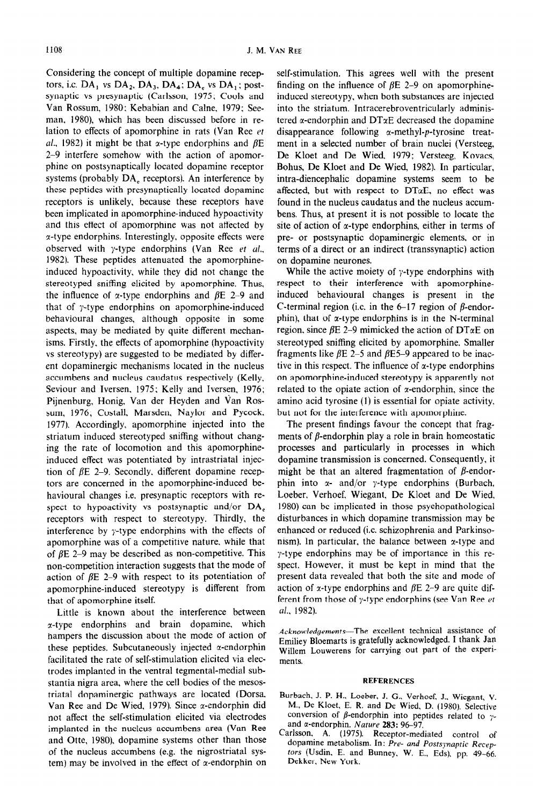Considering the concept of multiple dopamine receptors, i.e.  $DA_1$  vs  $DA_2$ ,  $DA_3$ ,  $DA_4$ ;  $DA_5$  vs  $DA_1$ ; postsynaptic vs presynaptic (Carlsson, 1975; Cools and Van Rossum, 1980; Kebabian and Caine, 1979; Seeman, 1980), which has been discussed before in relation to effects of apomorphine in rats (Van Ree et al., 1982) it might be that x-type endorphins and  $\beta E$ 2-9 interfere somehow with the action of apomorphine on postsynaptically located dopamine receptor systems (probably  $DA_e$  receptors). An interference by these peptides with presynaptically located dopamine receptors is unlikely, because these receptors have been implicated in apomorphine-induced hypoactivity and this effect of apomorphine was not affected by x-type endorphins. Interestingly, opposite effects were observed with y-type endorphins (Van Ree et al., 1982). These peptides attenuated the apomorphineinduced hypoactivity, while they did not change the stereotyped sniffing elicited by apomorphine. Thus, the influence of  $\alpha$ -type endorphins and  $\beta$ E 2–9 and that of y-type endorphins on apomorphine-induced behavioural changes, although opposite in some aspects, may be mediated by quite different mechanisms. Firstly. the effects of apomorphine (hypoactivity vs stereotypy) are suggested to be mediated by different dopaminergic mechanisms located in the nucleus accumbens and nucleus caudatus respectively (Kelly, Seviour and Iversen, 1975; Kelly and Iversen, 1976; Pijnenburg, Honig, Van der Heyden and Van Rossum, 1976; Costall, Marsden, Naylor and Pycock. 1977). Accordingly, apomorphine injected into the striatum induced stereotyped sniffing without changing the rate of locomotion and this apomorphineinduced effect was potentiated by intrastriatal injection of  $\beta$ E 2-9. Secondly, different dopamine receptors are concerned in the apomorphine-induced behavioural changes i.e. presynaptic receptors with respect to hypoactivity vs postsynaptic and/or  $DA_e$ receptors with respect to stereotypy. Thirdly. the interference by y-type endorphins with the effects of apomorphine was of a competitive nature. while that of  $\beta$ E 2-9 may be described as non-competitive. This non-competition interaction suggests that the mode of action of  $\beta$ E 2-9 with respect to its potentiation of apomorphine-induced stereotypy is different from that of apomorphine itself.

Little is known about the interference between  $\alpha$ -type endorphins and brain dopamine, which hampers the discussion about the mode of action of these peptides. Subcutaneously injected  $\alpha$ -endorphin facilitated the rate of self-stimulation elicited via electrodes implanted in the ventral tegmental-medial substantia nigra area, where the cell bodies of the mesostriatal dopaminergic pathways are located (Dorsa, Van Ree and De Wied, 1979). Since  $\alpha$ -endorphin did not affect the self-stimulation elicited via electrodes implanted in the nucleus accumbens area (Van Ree and Otte, 1980). dopamine systems other than those of the nucleus accumbens (e.g. the nigrostriatal system) may be involved in the effect of  $\alpha$ -endorphin on self-stimulation. This agrees well with the present finding on the influence of  $\beta$ E 2-9 on apomorphineinduced stereotypy, when both substances are injected into the striatum. Intracerebroventricularly administered  $\alpha$ -endorphin and DT $\alpha$ E decreased the dopamine disappearance following  $\alpha$ -methyl-p-tyrosine treatment in a selected number of brain nuclei (Versteeg, De Kloet and De Wied, 1979; Versteeg, Kovacs, Bohus, De Kloet and De Wied, 1982). In particular, intra-diencephalic dopamine systems seem to be affected, but with respect to  $DT\alpha E$ , no effect was found in the nucleus caudatus and the nucleus accumbens. Thus, at present it is not possible to locate the site of action of  $\alpha$ -type endorphins, either in terms of pre- or postsynaptic dopaminergic elements, or in terms of a direct or an indirect (transsynaptic) action on dopamine neurones.

While the active moiety of  $\gamma$ -type endorphins with respect to their interference with apomorphineinduced behavioural changes is present in the C-terminal region (i.e. in the  $6-17$  region of  $\beta$ -endorphin), that of  $\alpha$ -type endorphins is in the N-terminal region, since  $\beta$ E 2-9 mimicked the action of DT $\alpha$ E on stereotyped sniffing elicited by apomorphine. Smaller fragments like  $\beta$ E 2–5 and  $\beta$ E5–9 appeared to be inactive in this respect. The influence of  $\alpha$ -type endorphins on apomorphine-induced stereotypy is apparently not related to the opiate action of  $\alpha$ -endorphin, since the amino acid tyrosine (1) is essential for opiate activity. but not for the interference with apomorphine.

The present findings favour the concept that fragments of  $\beta$ -endorphin play a role in brain homeostatic processes and particularly in processes in which dopamine transmission is concerned. Consequently, it might be that an altered fragmentation of  $\beta$ -endorphin into  $x$ - and/or y-type endorphins (Burbach, Loeber. Verhoef, Wiegant, De Kloet and De Wied, 1980) can be implicated in those psychopathological disturbances in which dopamine transmission may be enhanced or reduced (i.c. schizophrenia and Parkinsonism). In particular, the balance between  $\alpha$ -type and y-type endorphins may be of importance in this respect. However, it must be kept in mind that the present data revealed that both the site and mode of action of x-type endorphins and  $\beta$ E 2-9 are quite different from those of  $\gamma$ -type endorphins (see Van Ree et ul., 1982).

Acknowledgements-The excellent technical assistance of *Emiliey* Bloemarts is gratefully acknowledged. I thank Jan Willem Louwerens for carrying out part of the experiments.

#### REFERENCES

- Burbach. J. P. H.. Loeber, J. G., Verhoef, J.. Wiegant, V. M., De Kloet, E. R. and De Wied, D. (1980). Selective conversion of  $\beta$ -endorphin into peptides related to  $\gamma$ and a-endorphin. *Nature* 283: 96-97.
- Carlsson, A. (1975). Receptor-mediated control of dopamine metabolism. In: Pre- and Postsynaptic Recep*tom* (Usdin. E. and Bunney, W. E., Eds), pp. 49-66. Dekker, New York.